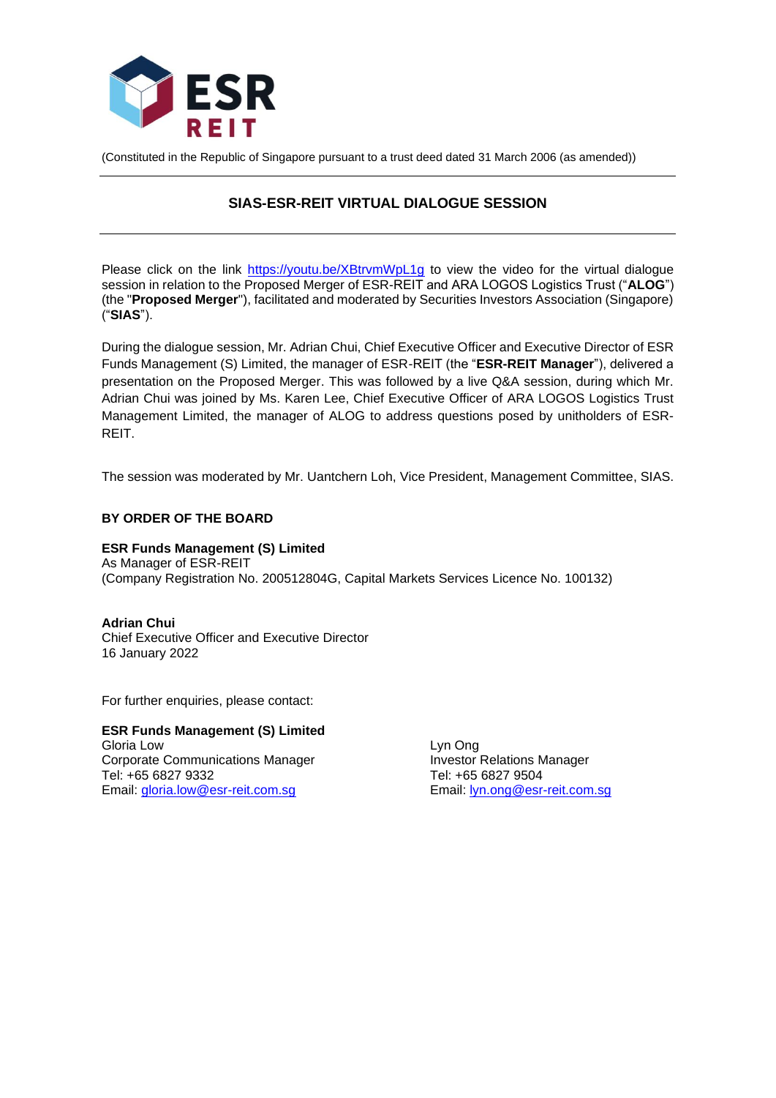

(Constituted in the Republic of Singapore pursuant to a trust deed dated 31 March 2006 (as amended))

# **SIAS-ESR-REIT VIRTUAL DIALOGUE SESSION**

Please click on the link [https://youtu.be/XBtrvmWpL1g](https://apc01.safelinks.protection.outlook.com/?url=https%3A%2F%2Fyoutu.be%2FXBtrvmWpL1g&data=04%7C01%7Cgloria.low%40esr-reit.com.sg%7C160933d809554a9b4ca708d9d7247a40%7C6ed733c0622d401d8f49b2984c7d765f%7C0%7C0%7C637777373970175505%7CUnknown%7CTWFpbGZsb3d8eyJWIjoiMC4wLjAwMDAiLCJQIjoiV2luMzIiLCJBTiI6Ik1haWwiLCJXVCI6Mn0%3D%7C3000&sdata=M78iucyy1tnkHLMd6Fpg5IvcYlMEG6wuhirry5WVY9I%3D&reserved=0) to view the video for the virtual dialogue session in relation to the Proposed Merger of ESR-REIT and ARA LOGOS Logistics Trust ("**ALOG**") (the "**Proposed Merger**"), facilitated and moderated by Securities Investors Association (Singapore) ("**SIAS**").

During the dialogue session, Mr. Adrian Chui, Chief Executive Officer and Executive Director of ESR Funds Management (S) Limited, the manager of ESR-REIT (the "**ESR-REIT Manager**"), delivered a presentation on the Proposed Merger. This was followed by a live Q&A session, during which Mr. Adrian Chui was joined by Ms. Karen Lee, Chief Executive Officer of ARA LOGOS Logistics Trust Management Limited, the manager of ALOG to address questions posed by unitholders of ESR-**REIT.** 

The session was moderated by Mr. Uantchern Loh, Vice President, Management Committee, SIAS.

## **BY ORDER OF THE BOARD**

**ESR Funds Management (S) Limited** As Manager of ESR-REIT (Company Registration No. 200512804G, Capital Markets Services Licence No. 100132)

**Adrian Chui** Chief Executive Officer and Executive Director 16 January 2022

For further enquiries, please contact:

**ESR Funds Management (S) Limited** Gloria Low Lyn Ong Corporate Communications Manager **Investor Relations Manager** Investor Relations Manager Tel: +65 6827 9332 Tel: +65 6827 9504 Email: [gloria.low@esr-reit.com.sg](mailto:gloria.low@esr-reit.com.sg) Email: [lyn.ong@esr-reit.com.sg](mailto:lyn.ong@esr-reit.com.sg)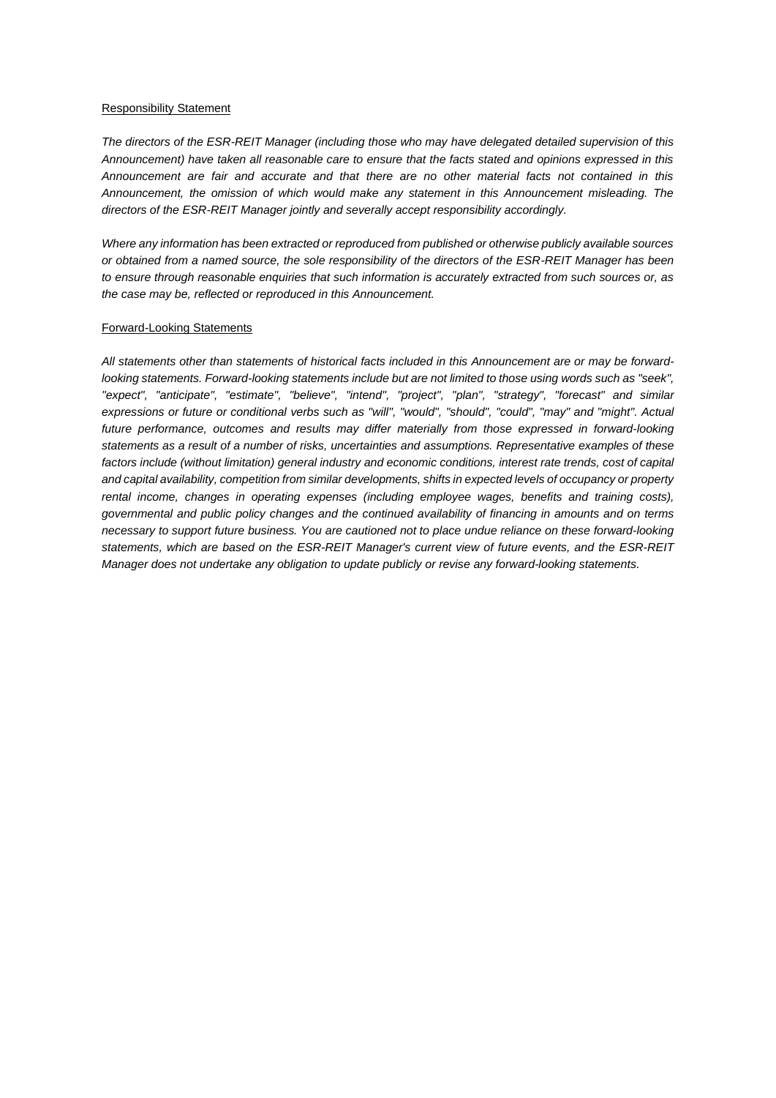#### Responsibility Statement

*The directors of the ESR-REIT Manager (including those who may have delegated detailed supervision of this Announcement) have taken all reasonable care to ensure that the facts stated and opinions expressed in this Announcement are fair and accurate and that there are no other material facts not contained in this Announcement, the omission of which would make any statement in this Announcement misleading. The directors of the ESR-REIT Manager jointly and severally accept responsibility accordingly.*

*Where any information has been extracted or reproduced from published or otherwise publicly available sources or obtained from a named source, the sole responsibility of the directors of the ESR-REIT Manager has been to ensure through reasonable enquiries that such information is accurately extracted from such sources or, as the case may be, reflected or reproduced in this Announcement.* 

#### Forward-Looking Statements

All statements other than statements of historical facts included in this Announcement are or may be forward*looking statements. Forward-looking statements include but are not limited to those using words such as "seek", "expect", "anticipate", "estimate", "believe", "intend", "project", "plan", "strategy", "forecast" and similar expressions or future or conditional verbs such as "will", "would", "should", "could", "may" and "might". Actual future performance, outcomes and results may differ materially from those expressed in forward-looking statements as a result of a number of risks, uncertainties and assumptions. Representative examples of these factors include (without limitation) general industry and economic conditions, interest rate trends, cost of capital and capital availability, competition from similar developments, shifts in expected levels of occupancy or property rental income, changes in operating expenses (including employee wages, benefits and training costs), governmental and public policy changes and the continued availability of financing in amounts and on terms necessary to support future business. You are cautioned not to place undue reliance on these forward-looking statements, which are based on the ESR-REIT Manager's current view of future events, and the ESR-REIT Manager does not undertake any obligation to update publicly or revise any forward-looking statements.*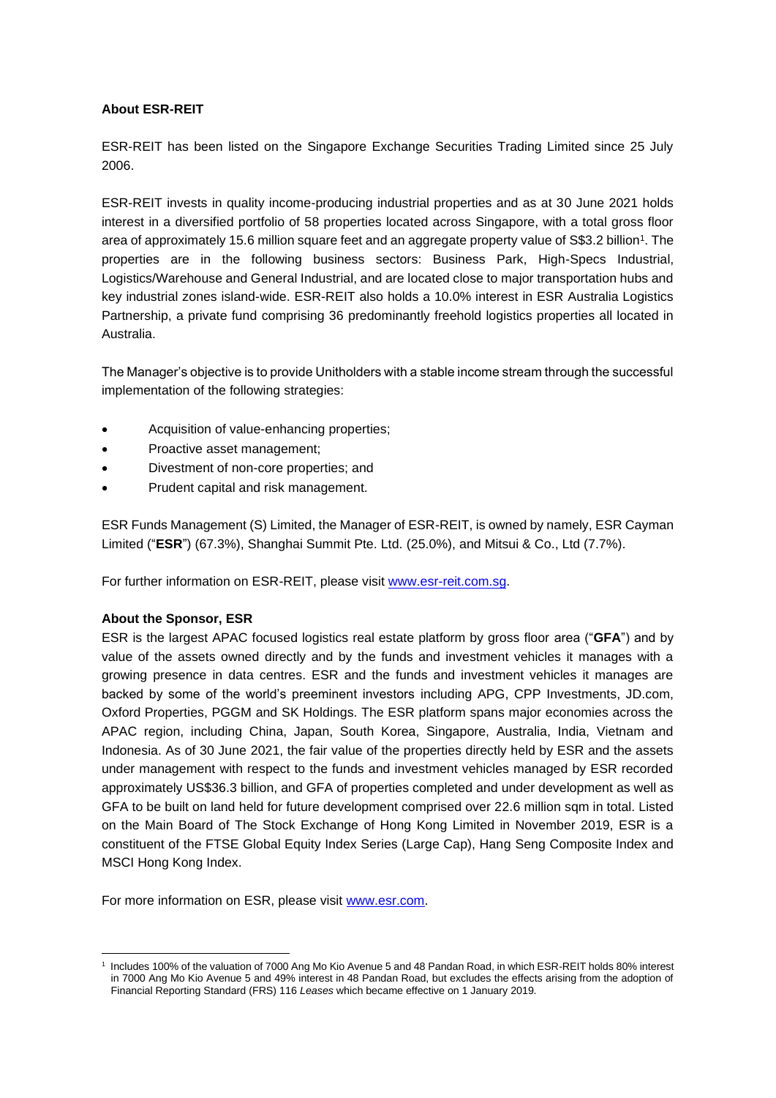## **About ESR-REIT**

ESR-REIT has been listed on the Singapore Exchange Securities Trading Limited since 25 July 2006.

ESR-REIT invests in quality income-producing industrial properties and as at 30 June 2021 holds interest in a diversified portfolio of 58 properties located across Singapore, with a total gross floor area of approximately 15.6 million square feet and an aggregate property value of S\$3.2 billion<sup>1</sup>. The properties are in the following business sectors: Business Park, High-Specs Industrial, Logistics/Warehouse and General Industrial, and are located close to major transportation hubs and key industrial zones island-wide. ESR-REIT also holds a 10.0% interest in ESR Australia Logistics Partnership, a private fund comprising 36 predominantly freehold logistics properties all located in Australia.

The Manager's objective is to provide Unitholders with a stable income stream through the successful implementation of the following strategies:

- Acquisition of value-enhancing properties;
- Proactive asset management;
- Divestment of non-core properties; and
- Prudent capital and risk management.

ESR Funds Management (S) Limited, the Manager of ESR-REIT, is owned by namely, ESR Cayman Limited ("**ESR**") (67.3%), Shanghai Summit Pte. Ltd. (25.0%), and Mitsui & Co., Ltd (7.7%).

For further information on ESR-REIT, please visit [www.esr-reit.com.sg.](http://www.esr-reit.com.sg/)

## **About the Sponsor, ESR**

ESR is the largest APAC focused logistics real estate platform by gross floor area ("**GFA**") and by value of the assets owned directly and by the funds and investment vehicles it manages with a growing presence in data centres. ESR and the funds and investment vehicles it manages are backed by some of the world's preeminent investors including APG, CPP Investments, JD.com, Oxford Properties, PGGM and SK Holdings. The ESR platform spans major economies across the APAC region, including China, Japan, South Korea, Singapore, Australia, India, Vietnam and Indonesia. As of 30 June 2021, the fair value of the properties directly held by ESR and the assets under management with respect to the funds and investment vehicles managed by ESR recorded approximately US\$36.3 billion, and GFA of properties completed and under development as well as GFA to be built on land held for future development comprised over 22.6 million sqm in total. Listed on the Main Board of The Stock Exchange of Hong Kong Limited in November 2019, ESR is a constituent of the FTSE Global Equity Index Series (Large Cap), Hang Seng Composite Index and MSCI Hong Kong Index.

For more information on ESR, please visit [www.esr.com.](https://apc01.safelinks.protection.outlook.com/?url=http%3A%2F%2Fwww.esr.com&data=02%7C01%7Cgloria.low%40esr-reit.com.sg%7Cb18ed7da682643de8b7008d766916f05%7C6ed733c0622d401d8f49b2984c7d765f%7C0%7C0%7C637090647129612986&sdata=hiUu8gk6thHcFkbiXEp08i9y2Ux64on2c0ivRFvmSek%3D&reserved=0)

<sup>1</sup> Includes 100% of the valuation of 7000 Ang Mo Kio Avenue 5 and 48 Pandan Road, in which ESR-REIT holds 80% interest in 7000 Ang Mo Kio Avenue 5 and 49% interest in 48 Pandan Road, but excludes the effects arising from the adoption of Financial Reporting Standard (FRS) 116 *Leases* which became effective on 1 January 2019.